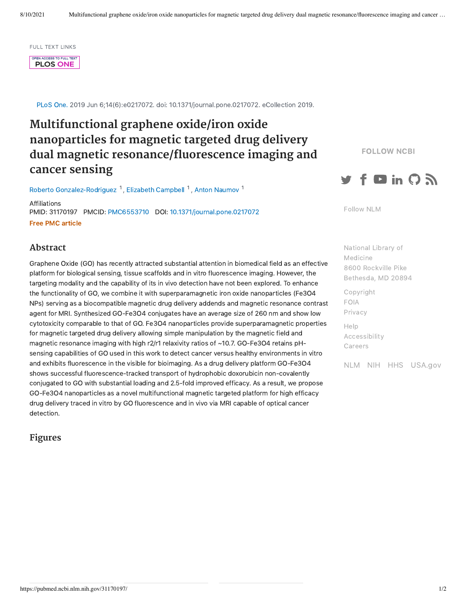FULL TEXT LINKS

OPEN ACCESS TO FULL TEXT **PLOS ONE** 

PLoS One. 2019 Jun 6;14(6):e0217072. doi: 10.1371/journal.pone.0217072. eCollection 2019.

# **Multifunctional graphene oxide/iron oxide nanoparticles for magnetic targeted drug delivery dual magnetic resonance/fluorescence imaging and cancer sensing**

Roberto [Gonzalez-Rodriguez](https://pubmed.ncbi.nlm.nih.gov/?term=Gonzalez-Rodriguez+R&cauthor_id=31170197)  $1$ , Elizabeth [Campbell](https://pubmed.ncbi.nlm.nih.gov/?term=Campbell+E&cauthor_id=31170197)  $1$ , Anton [Naumov](https://pubmed.ncbi.nlm.nih.gov/?term=Naumov+A&cauthor_id=31170197)  $1$ 

Affiliations PMID: 31170197 PMCID: [PMC6553710](http://www.ncbi.nlm.nih.gov/pmc/articles/pmc6553710/) DOI: [10.1371/journal.pone.0217072](https://doi.org/10.1371/journal.pone.0217072) Free PMC article

### FOLLOW NCBI



[Follow](https://www.nlm.nih.gov/socialmedia/index.html) NLM

**Abstract**

Graphene Oxide (GO) has recently attracted substantial attention in biomedical field as an effective platform for biological sensing, tissue scaffolds and in vitro fluorescence imaging. However, the targeting modality and the capability of its in vivo detection have not been explored. To enhance the functionality of GO, we combine it with superparamagnetic iron oxide nanoparticles (Fe3O4 NPs) serving as a biocompatible magnetic drug delivery addends and magnetic resonance contrast agent for MRI. Synthesized GO-Fe3O4 conjugates have an average size of 260 nm and show low cytotoxicity comparable to that of GO. Fe3O4 nanoparticles provide superparamagnetic properties for magnetic targeted drug delivery allowing simple manipulation by the magnetic field and magnetic resonance imaging with high r2/r1 relaxivity ratios of ~10.7. GO-Fe3O4 retains pHsensing capabilities of GO used in this work to detect cancer versus healthy environments in vitro and exhibits fluorescence in the visible for bioimaging. As a drug delivery platform GO-Fe3O4 shows successful fluorescence-tracked transport of hydrophobic doxorubicin non-covalently conjugated to GO with substantial loading and 2.5-fold improved efficacy. As a result, we propose GO-Fe3O4 nanoparticles as a novel multifunctional magnetic targeted platform for high efficacy drug delivery traced in vitro by GO fluorescence and in vivo via MRI capable of optical cancer detection.

## **Figures**

National Library of Medicine 8600 Rockville Pike [Bethesda,](https://www.google.com/maps/place/8600+Rockville+Pike,+Bethesda,+MD+20894/@38.9959508,-77.101021,17z/data=!3m1!4b1!4m5!3m4!1s0x89b7c95e25765ddb:0x19156f88b27635b8!8m2!3d38.9959508!4d-77.0988323) MD 20894

[Copyright](https://www.nlm.nih.gov/copyright.html) [FOIA](https://www.nih.gov/institutes-nih/nih-office-director/office-communications-public-liaison/freedom-information-act-office) [Privacy](https://www.nlm.nih.gov/privacy.html)

[Help](https://support.nlm.nih.gov/) [Accessibility](https://www.nlm.nih.gov/accessibility.html) [Careers](https://www.nlm.nih.gov/careers/careers.html)

[NLM](https://www.nlm.nih.gov/) [NIH](https://www.nih.gov/) [HHS](https://www.hhs.gov/) [USA.gov](https://www.usa.gov/)